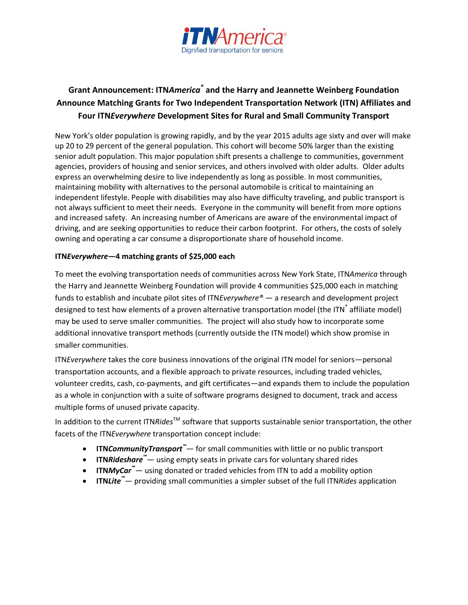

# **Grant Announcement: ITN***America®* **and the Harry and Jeannette Weinberg Foundation Announce Matching Grants for Two Independent Transportation Network (ITN) Affiliates and Four ITN***Everywhere* **Development Sites for Rural and Small Community Transport**

New York's older population is growing rapidly, and by the year 2015 adults age sixty and over will make up 20 to 29 percent of the general population. This cohort will become 50% larger than the existing senior adult population. This major population shift presents a challenge to communities, government agencies, providers of housing and senior services, and others involved with older adults. Older adults express an overwhelming desire to live independently as long as possible. In most communities, maintaining mobility with alternatives to the personal automobile is critical to maintaining an independent lifestyle. People with disabilities may also have difficulty traveling, and public transport is not always sufficient to meet their needs. Everyone in the community will benefit from more options and increased safety. An increasing number of Americans are aware of the environmental impact of driving, and are seeking opportunities to reduce their carbon footprint. For others, the costs of solely owning and operating a car consume a disproportionate share of household income.

### **ITN***Everywhere***—4 matching grants of \$25,000 each**

To meet the evolving transportation needs of communities across New York State, ITN*America* through the Harry and Jeannette Weinberg Foundation will provide 4 communities \$25,000 each in matching funds to establish and incubate pilot sites of ITN*Everywhere® —* a research and development project designed to test how elements of a proven alternative transportation model (the ITN<sup>®</sup> affiliate model) may be used to serve smaller communities. The project will also study how to incorporate some additional innovative transport methods (currently outside the ITN model) which show promise in smaller communities.

ITN*Everywhere* takes the core business innovations of the original ITN model for seniors—personal transportation accounts, and a flexible approach to private resources, including traded vehicles, volunteer credits, cash, co-payments, and gift certificates—and expands them to include the population as a whole in conjunction with a suite of software programs designed to document, track and access multiple forms of unused private capacity.

In addition to the current ITNRides<sup>TM</sup> software that supports sustainable senior transportation, the other facets of the ITN*Everywhere* transportation concept include:

- **ITN***CommunityTransport™* for small communities with little or no public transport
- **ITN***Rideshare™* using empty seats in private cars for voluntary shared rides
- **ITN***MyCar™* using donated or traded vehicles from ITN to add a mobility option
- **ITN***Lite™* providing small communities a simpler subset of the full ITN*Rides* application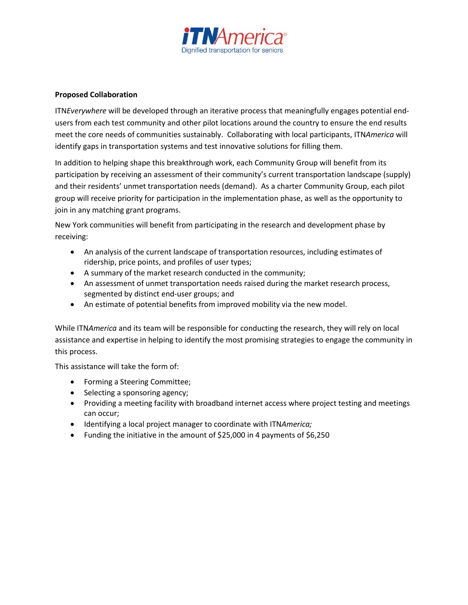

## **Proposed Collaboration**

ITN*Everywhere* will be developed through an iterative process that meaningfully engages potential endusers from each test community and other pilot locations around the country to ensure the end results meet the core needs of communities sustainably. Collaborating with local participants, ITN*America* will identify gaps in transportation systems and test innovative solutions for filling them.

In addition to helping shape this breakthrough work, each Community Group will benefit from its participation by receiving an assessment of their community's current transportation landscape (supply) and their residents' unmet transportation needs (demand). As a charter Community Group, each pilot group will receive priority for participation in the implementation phase, as well as the opportunity to join in any matching grant programs.

New York communities will benefit from participating in the research and development phase by receiving:

- An analysis of the current landscape of transportation resources, including estimates of ridership, price points, and profiles of user types;
- A summary of the market research conducted in the community;
- An assessment of unmet transportation needs raised during the market research process, segmented by distinct end-user groups; and
- An estimate of potential benefits from improved mobility via the new model.

While ITN*America* and its team will be responsible for conducting the research, they will rely on local assistance and expertise in helping to identify the most promising strategies to engage the community in this process.

This assistance will take the form of:

- Forming a Steering Committee;
- Selecting a sponsoring agency;
- Providing a meeting facility with broadband internet access where project testing and meetings can occur;
- Identifying a local project manager to coordinate with ITN*America;*
- Funding the initiative in the amount of \$25,000 in 4 payments of \$6,250